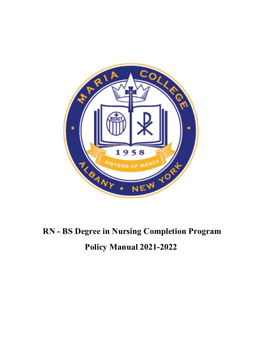

# **RN - BS Degree in Nursing Completion Program Policy Manual 2021-2022**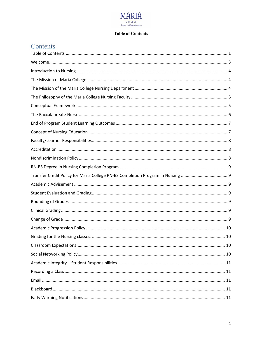

#### **Table of Contents**

# Contents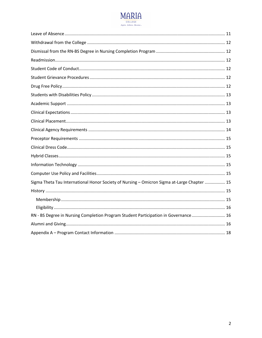

| Sigma Theta Tau International Honor Society of Nursing - Omicron Sigma at-Large Chapter  15 |  |
|---------------------------------------------------------------------------------------------|--|
|                                                                                             |  |
|                                                                                             |  |
|                                                                                             |  |
| RN - BS Degree in Nursing Completion Program Student Participation in Governance 16         |  |
|                                                                                             |  |
|                                                                                             |  |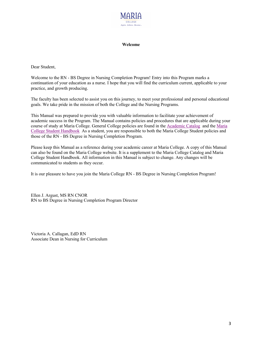

#### **Welcome**

Dear Student,

Welcome to the RN - BS Degree in Nursing Completion Program! Entry into this Program marks a continuation of your education as a nurse. I hope that you will find the curriculum current, applicable to your practice, and growth producing.

The faculty has been selected to assist you on this journey, to meet your professional and personal educational goals. We take pride in the mission of both the College and the Nursing Programs.

This Manual was prepared to provide you with valuable information to facilitate your achievement of academic success in the Program. The Manual contains policies and procedures that are applicable during your course of study at Maria College. General College policies are found in the Academic Catalog and the Maria College Student Handbook As a student, you are responsible to both the Maria College Student policies and those of the RN - BS Degree in Nursing Completion Program.

Please keep this Manual as a reference during your academic career at Maria College. A copy of this Manual can also be found on the Maria College website. It is a supplement to the Maria College Catalog and Maria College Student Handbook. All information in this Manual is subject to change. Any changes will be communicated to students as they occur.

It is our pleasure to have you join the Maria College RN - BS Degree in Nursing Completion Program!

Ellen J. Argust, MS RN CNOR RN to BS Degree in Nursing Completion Program Director

Victoria A. Callagan, EdD RN Associate Dean in Nursing for Curriculum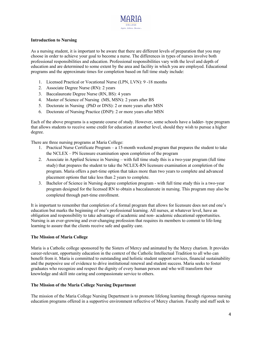

#### **Introduction to Nursing**

As a nursing student, it is important to be aware that there are different levels of preparation that you may choose in order to achieve your goal to become a nurse. The differences in types of nurses involve both professional responsibilities and education. Professional responsibilities vary with the level and depth of education and are determined to some extent by the area and facility in which you are employed. Educational programs and the approximate times for completion based on full time study include:

- 1. Licensed Practical or Vocational Nurse (LPN, LVN): 9 -18 months
- 2. Associate Degree Nurse (RN): 2 years
- 3. Baccalaureate Degree Nurse (RN, BS): 4 years
- 4. Master of Science of Nursing (MS, MSN): 2 years after BS
- 5. Doctorate in Nursing (PhD or DNS): 2 or more years after MSN
- 6. Doctorate of Nursing Practice (DNP): 2 or more years after MSN

Each of the above programs is a separate course of study. However, some schools have a ladder- type program that allows students to receive some credit for education at another level, should they wish to pursue a higher degree.

There are three nursing programs at Maria College:

- 1. Practical Nurse Certificate Program a 15-month weekend program that prepares the student to take the NCLEX – PN licensure examination upon completion of the program
- 2. Associate in Applied Science in Nursing with full time study this is a two-year program (full time study) that prepares the student to take the NCLEX-RN licensure examination at completion of the program. Maria offers a part-time option that takes more than two years to complete and advanced placement options that take less than 2 years to complete.
- 3. Bachelor of Science in Nursing degree completion program with full time study this is a two-year program designed for the licensed RN to obtain a baccalaureate in nursing. This program may also be completed through part-time enrollment.

It is important to remember that completion of a formal program that allows for licensure does not end one's education but marks the beginning of one's professional learning. All nurses, at whatever level, have an obligation and responsibility to take advantage of academic and non- academic educational opportunities. Nursing is an ever-growing and ever-changing profession that requires its members to commit to life-long learning to assure that the clients receive safe and quality care.

#### **The Mission of Maria College**

Maria is a Catholic college sponsored by the Sisters of Mercy and animated by the Mercy charism. It provides career-relevant, opportunity education in the context of the Catholic Intellectual Tradition to all who can benefit from it. Maria is committed to outstanding and holistic student support services, financial sustainability and the purposive use of evidence to drive institutional renewal and student success. Maria seeks to foster graduates who recognize and respect the dignity of every human person and who will transform their knowledge and skill into caring and compassionate service to others.

#### **The Mission of the Maria College Nursing Department**

The mission of the Maria College Nursing Department is to promote lifelong learning through rigorous nursing education programs offered in a supportive environment reflective of Mercy charism. Faculty and staff seek to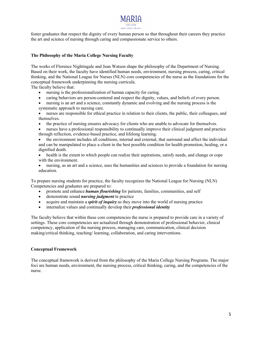

foster graduates that respect the dignity of every human person so that throughout their careers they practice the art and science of nursing through caring and compassionate service to others.

#### **The Philosophy of the Maria College Nursing Faculty**

The works of Florence Nightingale and Jean Watson shape the philosophy of the Department of Nursing. Based on their work, the faculty have identified human needs, environment, nursing process, caring, critical thinking, and the National League for Nurses (NLN) core competencies of the nurse as the foundations for the conceptual framework underpinning the nursing curricula.

The faculty believe that:

- nursing is the professionalization of human capacity for caring.
- caring behaviors are person-centered and respect the dignity, values, and beliefs of every person.
- nursing is an art and a science, constantly dynamic and evolving and the nursing process is the systematic approach to nursing care.
- nurses are responsible for ethical practice in relation to their clients, the public, their colleagues, and themselves.
- the practice of nursing ensures advocacy for clients who are unable to advocate for themselves.
- nurses have a professional responsibility to continually improve their clinical judgment and practice through reflection, evidence-based practice, and lifelong learning.
- the environment includes all conditions, internal and external, that surround and affect the individual and can be manipulated to place a client in the best possible condition for health promotion, healing, or a dignified death.
- health is the extent to which people can realize their aspirations, satisfy needs, and change or cope with the environment.
- nursing, as an art and a science, uses the humanities and sciences to provide a foundation for nursing education.

To prepare nursing students for practice, the faculty recognizes the National League for Nursing (NLN) Competencies and graduates are prepared to:   

- promote and enhance *human flourishing* for patients, families, communities, and self
- demonstrate sound *nursing judgment*in practice
- acquire and maintain a *spirit of inquiry* as they move into the world of nursing practice
- internalize values and continually develop their *professional identity*

The faculty believe that within these core competencies the nurse is prepared to provide care in a variety of settings. These core competencies are actualized through demonstration of professional behavior, clinical competency, application of the nursing process, managing care, communication, clinical decision making/critical thinking, teaching/ learning, collaboration, and caring interventions.

#### **Conceptual Framework**

The conceptual framework is derived from the philosophy of the Maria College Nursing Programs. The major foci are human needs, environment, the nursing process, critical thinking, caring, and the competencies of the nurse.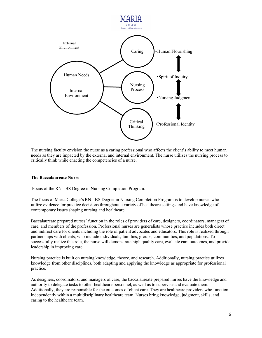

The nursing faculty envision the nurse as a caring professional who affects the client's ability to meet human needs as they are impacted by the external and internal environment. The nurse utilizes the nursing process to critically think while enacting the competencies of a nurse.

#### **The Baccalaureate Nurse**

Focus of the RN - BS Degree in Nursing Completion Program:

The focus of Maria College's RN - BS Degree in Nursing Completion Program is to develop nurses who utilize evidence for practice decisions throughout a variety of healthcare settings and have knowledge of contemporary issues shaping nursing and healthcare.

Baccalaureate prepared nurses' function in the roles of providers of care, designers, coordinators, managers of care, and members of the profession. Professional nurses are generalists whose practice includes both direct and indirect care for clients including the role of patient advocates and educators. This role is realized through partnerships with clients, who include individuals, families, groups, communities, and populations. To successfully realize this role, the nurse will demonstrate high quality care, evaluate care outcomes, and provide leadership in improving care.

Nursing practice is built on nursing knowledge, theory, and research. Additionally, nursing practice utilizes knowledge from other disciplines, both adapting and applying the knowledge as appropriate for professional practice.

As designers, coordinators, and managers of care, the baccalaureate prepared nurses have the knowledge and authority to delegate tasks to other healthcare personnel, as well as to supervise and evaluate them. Additionally, they are responsible for the outcomes of client care. They are healthcare providers who function independently within a multidisciplinary healthcare team. Nurses bring knowledge, judgment, skills, and caring to the healthcare team.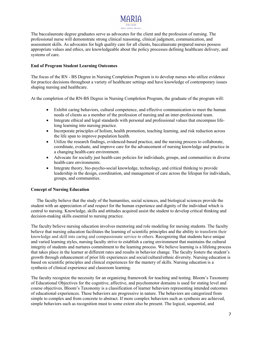

The baccalaureate degree graduates serve as advocates for the client and the profession of nursing. The professional nurse will demonstrate strong clinical reasoning, clinical judgment, communication, and assessment skills. As advocates for high quality care for all clients, baccalaureate prepared nurses possess appropriate values and ethics, are knowledgeable about the policy processes defining healthcare delivery, and systems of care.

#### **End of Program Student Learning Outcomes**

The focus of the RN - BS Degree in Nursing Completion Program is to develop nurses who utilize evidence for practice decisions throughout a variety of healthcare settings and have knowledge of contemporary issues shaping nursing and healthcare.

At the completion of the RN-BS Degree in Nursing Completion Program, the graduate of the program will:

- Exhibit caring behaviors, cultural competence, and effective communication to meet the human needs of clients as a member of the profession of nursing and an inter-professional team.
- Integrate ethical and legal standards with personal and professional values that encompass lifelong learning into nursing practice.
- Incorporate principles of holism, health promotion, teaching learning, and risk reduction across the life span to improve population health.
- Utilize the research findings, evidenced-based practice, and the nursing process to collaborate, coordinate, evaluate, and improve care for the advancement of nursing knowledge and practice in a changing health-care environment.
- Advocate for socially just health-care policies for individuals, groups, and communities in diverse health-care environments.
- Integrate theory, bio-psycho-social knowledge, technology, and critical thinking to provide leadership in the design, coordination, and management of care across the lifespan for individuals, groups, and communities.

#### **Concept of Nursing Education**

The faculty believe that the study of the humanities, social sciences, and biological sciences provide the student with an appreciation of and respect for the human experience and dignity of the individual which is central to nursing. Knowledge, skills and attitudes acquired assist the student to develop critical thinking and decision-making skills essential to nursing practice.

The faculty believe nursing education involves mentoring and role modeling for nursing students. The faculty believe that nursing education facilitates the learning of scientific principles and the ability to transform their knowledge and skill into caring and compassionate service to others. Recognizing that students have unique and varied learning styles, nursing faculty strive to establish a caring environment that maintains the cultural integrity of students and nurtures commitment to the learning process. We believe learning is a lifelong process that takes place in the learner at different rates and results in behavior change. The faculty fosters the student's growth through enhancement of prior life experiences and social/cultural/ethnic diversity. Nursing education is based on scientific principles and clinical experiences for the mastery of skills. Nursing education is a synthesis of clinical experience and classroom learning.

The faculty recognize the necessity for an organizing framework for teaching and testing. Bloom's Taxonomy of Educational Objectives for the cognitive, affective, and psychomotor domains is used for stating level and course objectives. Bloom's Taxonomy is a classification of learner behaviors representing intended outcomes of educational experiences. These behaviors are progressive in nature. The behaviors are categorized from simple to complex and from concrete to abstract. If more complex behaviors such as synthesis are achieved, simple behaviors such as recognition must to some extent also be present. The logical, sequential, and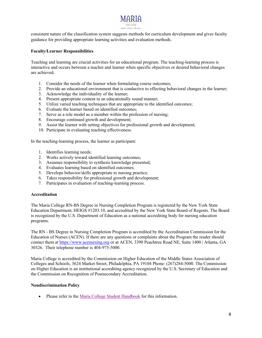

consistent nature of the classification system suggests methods for curriculum development and gives faculty guidance for providing appropriate learning activities and evaluation methods.

#### **Faculty/Learner Responsibilities**

Teaching and learning are crucial activities for an educational program. The teaching-learning process is interactive and occurs between a teacher and learner when specific objectives or desired behavioral changes are achieved.

- 1. Consider the needs of the learner when formulating course outcomes;
- 2. Provide an educational environment that is conductive to effecting behavioral changes in the learner;
- 3. Acknowledge the individuality of the learner;
- 4. Present appropriate content in an educationally sound manner;
- 5. Utilize varied teaching techniques that are appropriate to the identified outcomes;
- 6. Evaluate the learner based on identified outcomes;
- 7. Serve as a role model as a member within the profession of nursing;
- 8. Encourage continued growth and development;
- 9. Assist the learner with setting objectives for professional growth and development;
- 10. Participate in evaluating teaching effectiveness.

In the teaching-learning process, the learner as participant:

- 1. Identifies learning needs;
- 2. Works actively toward identified learning outcomes;
- 3. Assumes responsibility to synthesis knowledge presented;
- 4. Evaluates learning based on identified outcomes;
- 5. Develops behavior/skills appropriate to nursing practice;
- 6. Takes responsibility for professional growth and development;
- 7. Participates in evaluation of teaching-learning process.

#### **Accreditation**

The Maria College RN-BS Degree in Nursing Completion Program is registered by the New York State Education Department, HEIGS #1203.10, and accredited by the New York State Board of Regents. The Board is recognized by the U.S. Department of Education as a national accrediting body for nursing education programs.

The RN - BS Degree in Nursing Completion Program is accredited by the Accreditation Commission for the Education of Nurses (ACEN). If there are any questions or complaints about the Program the reader should contact them at https://www.acenursing.org or at ACEN, 3390 Peachtree Road NE, Suite 1400 | Atlanta, GA 30326. Their telephone number is 404-975-5000.

Maria College is accredited by the Commission on Higher Education of the Middle States Association of Colleges and Schools, 3624 Market Street, Philadelphia, PA 19104 Phone: (267)284-5000. The Commission on Higher Education is an institutional accrediting agency recognized by the U.S. Secretary of Education and the Commission on Recognition of Postsecondary Accreditation.

#### **Nondiscrimination Policy**

• Please refer to the Maria College Student Handbook for this information.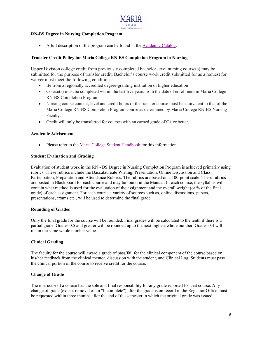

#### **RN-BS Degree in Nursing Completion Program**

• A full description of the program can be found in the Academic Catalog.

#### **Transfer Credit Policy for Maria College RN-BS Completion Program in Nursing**

Upper Division college credit from previously completed bachelor level nursing course(s) may be submitted for the purpose of transfer credit. Bachelor's course work credit submitted for as a request for waiver must meet the following conditions:

- Be from a regionally accredited degree-granting institution of higher education
- Course(s) must be completed within the last five years from the date of enrollment in Maria College RN-BS Completion Program.
- Nursing course content, level and credit hours of the transfer course must be equivalent to that of the Maria College RN-BS Completion Program course as determined by Maria College RN-BS Nursing Faculty.
- Credit will only be transferred for courses with an earned grade of C+ or better.

#### **Academic Advisement**

• Please refer to the Maria College Student Handbook for this information.

#### **Student Evaluation and Grading**

Evaluation of student work in the RN - BS Degree in Nursing Completion Program is achieved primarily using rubrics. These rubrics include the Baccalaureate Writing, Presentation, Online Discussion and Class Participation, Preparation and Attendance Rubrics. The rubrics are based on a 100-point scale. These rubrics are posted in Blackboard for each course and may be found in the Manual. In each course, the syllabus will contain what method is used for the evaluation of the assignment and the overall weight (or % of the final grade) of each assignment. For each course a variety of sources such as, online discussions, papers, presentations, exams etc., will be used to determine the final grade.

#### **Rounding of Grades**

Only the final grade for the course will be rounded. Final grades will be calculated to the tenth if there is a partial grade. Grades 0.5 and greater will be rounded up to the next highest whole number. Grades 0.4 will retain the same whole number value.

#### **Clinical Grading**

The faculty for the course will award a grade of pass/fail for the clinical component of the course based on his/her feedback from the clinical mentor, discussion with the student, and Clinical Log. Students must pass the clinical portion of the course to receive credit for the course.

#### **Change of Grade**

The instructor of a course has the sole and final responsibility for any grade reported for that course. Any change of grade (except removal of an "Incomplete") after the grade is on record in the Registrar Office must be requested within three months after the end of the semester in which the original grade was issued.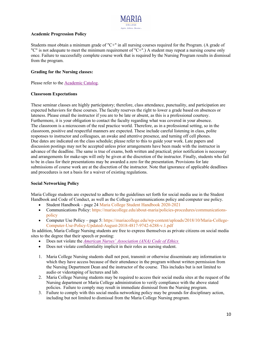

#### **Academic Progression Policy**

Students must obtain a minimum grade of "C+" in all nursing courses required for the Program. (A grade of "C" is not adequate to meet the minimum requirement of "C+".) A student may repeat a nursing course only once. Failure to successfully complete course work that is required by the Nursing Program results in dismissal from the program.

#### **Grading for the Nursing classes:**

Please refer to the Academic Catalog.

#### **Classroom Expectations**

These seminar classes are highly participatory; therefore, class attendance, punctuality, and participation are expected behaviors for these courses. The faculty reserves the right to lower a grade based on absences or lateness. Please email the instructor if you are to be late or absent, as this is a professional courtesy. Furthermore, it is your obligation to contact the faculty regarding what was covered in your absence. The classroom is a microcosm of the real practice world. Therefore, as in a professional setting, so in the classroom, positive and respectful manners are expected. These include careful listening in class, polite responses to instructor and colleagues, an awake and attentive presence, and turning off cell phones. Due dates are indicated on the class schedule; please refer to this to guide your work. Late papers and discussion postings may not be accepted unless prior arrangements have been made with the instructor in advance of the deadline. The same is true of exams, both written and practical; prior notification is necessary and arrangements for make-ups will only be given at the discretion of the instructor. Finally, students who fail to be in class for their presentations may be awarded a zero for the presentation. Provisions for late submissions of course work are at the discretion of the instructor. Note that ignorance of applicable deadlines and procedures is not a basis for a waiver of existing regulations.

#### **Social Networking Policy**

Maria College students are expected to adhere to the guidelines set forth for social media use in the Student Handbook and Code of Conduct, as well as the College's communications policy and computer use policy.

- Student Handbook page 24 Maria College Student Handbook 2020-2021
- Communications Policy: https://mariacollege.edu/about-maria/policies-procedures/communicationspolicy
- Computer Use Policy page 5: https://mariacollege.edu/wp-content/uploads/2018/10/Maria-College-Computer-Use-Policy-Updated-August-2018-4817-9742-6288-v.1.pdf

In addition, Maria College Nursing students are free to express themselves as private citizens on social media sites to the degree that their speech or posting:

- Does not violate the *American Nurses' Association (ANA) Code of Ethics*
- Does not violate confidentiality implicit in their roles as nursing student.
- 1. Maria College Nursing students shall not post, transmit or otherwise disseminate any information to which they have access because of their attendance in the program without written permission from the Nursing Department Dean and the instructor of the course.  This includes but is not limited to audio or videotaping of lectures and lab.
- 2. Maria College Nursing students may be required to access their social media sites at the request of the Nursing department or Maria College administration to verify compliance with the above stated policies.  Failure to comply may result in immediate dismissal from the Nursing program.
- 3. Failure to comply with this social media networking policy may be grounds for disciplinary action, including but not limited to dismissal from the Maria College Nursing program.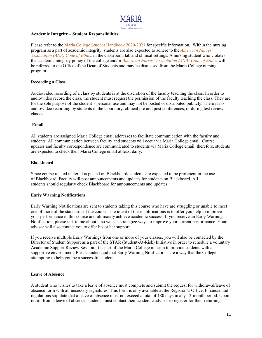

#### **Academic Integrity – Student Responsibilities**

Please refer to the Maria College Student Handbook 2020-2021 for specific information. Within the nursing program as a part of academic integrity, students are also expected to adhere to the *American Nurses' Association (ANA) Code of Ethics* in the classroom, lab and clinical settings. A nursing student who violates the academic integrity policy of the college and/or *American Nurses' Association (ANA) Code of Ethics* will be referred to the Office of the Dean of Students and may be dismissed from the Maria College nursing program.

#### **Recording a Class**

Audio/video recording of a class by students is at the discretion of the faculty teaching the class. In order to audio/video record the class, the student must request the permission of the faculty teaching the class. They are for the sole purpose of the student's personal use and may not be posted or distributed publicly. There is no audio/video recording by students in the laboratory, clinical pre and post conferences, or during test review classes**.**

#### **Email**

All students are assigned Maria College email addresses to facilitate communication with the faculty and students. All communication between faculty and students will occur via Maria College email. Course updates and faculty correspondence are communicated to students via Maria College email; therefore, students are expected to check their Maria College email at least daily.

#### **Blackboard**

Since course related material is posted on Blackboard**,** students are expected to be proficient in the use of Blackboard. Faculty will post announcements and updates for students on Blackboard. All students should regularly check Blackboard for announcements and updates.

#### **Early Warning Notifications**

Early Warning Notifications are sent to students taking this course who have are struggling or unable to meet one of more of the standards of the course. The intent of these notifications is to offer you help to improve your performance in this course and ultimately achieve academic success. If you receive an Early Warning Notification, please talk to me about it so we can strategize ways to improve your current performance. Your advisor will also contact you to offer his or her support.

If you receive multiple Early Warnings from one or more of your classes, you will also be contacted by the Director of Student Support as a part of the STAR (Student-At-Risk) Initiative in order to schedule a voluntary Academic Support Review Session. It is part of the Maria College mission to provide students with a supportive environment. Please understand that Early Warning Notifications are a way that the College is attempting to help you be a successful student.

#### **Leave of Absence**

A student who wishes to take a leave of absence must complete and submit the request for withdrawal/leave of absence form with all necessary signatures. This form is only available at the Registrar's Office. Financial aid regulations stipulate that a leave of absence must not exceed a total of 180 days in any 12-month period. Upon return from a leave of absence, students must contact their academic advisor to register for their returning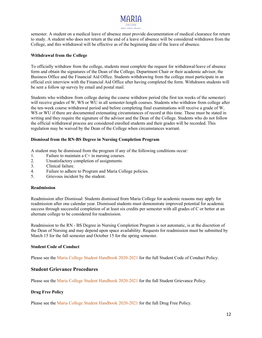

semester. A student on a medical leave of absence must provide documentation of medical clearance for return to study. A student who does not return at the end of a leave of absence will be considered withdrawn from the College, and this withdrawal will be effective as of the beginning date of the leave of absence.

#### **Withdrawal from the College**

To officially withdraw from the college, students must complete the request for withdrawal/leave of absence form and obtain the signatures of the Dean of the College, Department Chair or their academic advisor, the Business Office and the Financial Aid Office. Students withdrawing from the college must participate in an official exit interview with the Financial Aid Office after having completed the form. Withdrawn students will be sent a follow up survey by email and postal mail.

Students who withdraw from college during the course withdraw period (the first ten weeks of the semester) will receive grades of W, WS or WU in all semester-length courses. Students who withdraw from college after the ten-week course withdrawal period and before completing final examinations will receive a grade of W, WS or WU if there are documented extenuating circumstances of record at this time. These must be stated in writing and they require the signature of the advisor and the Dean of the College. Students who do not follow the official withdrawal process are considered enrolled students and their grades will be recorded. This regulation may be waived by the Dean of the College when circumstances warrant.

#### **Dismissal from the RN-BS Degree in Nursing Completion Program**

A student may be dismissed from the program if any of the following conditions occur:

- 1. Failure to maintain a C+ in nursing courses.
- 2. Unsatisfactory completion of assignments.
- 3. Clinical failure.
- 4. Failure to adhere to Program and Maria College policies.
- 5. Grievous incident by the student.

#### **Readmission**

Readmission after Dismissal: Students dismissed from Maria College for academic reasons may apply for readmission after one calendar year. Dismissed students must demonstrate improved potential for academic success through successful completion of at least six credits per semester with all grades of C or better at an alternate college to be considered for readmission.

Readmission to the RN - BS Degree in Nursing Completion Program is not automatic, is at the discretion of the Dean of Nursing and may depend upon space availability. Requests for readmission must be submitted by March 15 for the fall semester and October 15 for the spring semester.

#### **Student Code of Conduct**

Please see the Maria College Student Handbook 2020-2021 for the full Student Code of Conduct Policy.

#### **Student Grievance Procedures**

Please see the Maria College Student Handbook 2020-2021 for the full Student Grievance Policy.

#### **Drug Free Policy**

Please see the Maria College Student Handbook 2020-2021 for the full Drug Free Policy.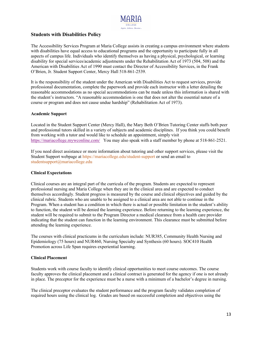

#### **Students with Disabilities Policy**

The Accessibility Services Program at Maria College assists in creating a campus environment where students with disabilities have equal access to educational programs and the opportunity to participate fully in all aspects of campus life. Individuals who identify themselves as having a physical, psychological, or learning disability for special services/academic adjustments under the Rehabilitation Act of 1973 (504, 508) and the American with Disabilities Act of 1990 must contact the Director of Accessibility Services, in the Frank O'Brien, Jr. Student Support Center, Mercy Hall 518-861-2539.

It is the responsibility of the student under the American with Disabilities Act to request services, provide professional documentation, complete the paperwork and provide each instructor with a letter detailing the reasonable accommodations as no special accommodations can be made unless this information is shared with the student's instructors. "A reasonable accommodation is one that does not alter the essential nature of a course or program and does not cause undue hardship" (Rehabilitation Act of 1973).

#### **Academic Support**

Located in the Student Support Center (Mercy Hall), the Mary Beth O'Brien Tutoring Center staffs both peer and professional tutors skilled in a variety of subjects and academic disciplines. If you think you could benefit from working with a tutor and would like to schedule an appointment, simply visit https://mariacollege.mywconline.com/ You may also speak with a staff member by phone at 518-861-2521.

If you need direct assistance or more information about tutoring and other support services, please visit the Student Support webpage at https://mariacollege.edu/student-support or send an email to studentsupport@mariacollege.edu

#### **Clinical Expectations**

Clinical courses are an integral part of the curricula of the program. Students are expected to represent professional nursing and Maria College when they are in the clinical area and are expected to conduct themselves accordingly. Student progress is measured by the course and clinical objectives and guided by the clinical rubric. Students who are unable to be assigned to a clinical area are not able to continue in the Program. When a student has a condition in which there is actual or possible limitation in the student's ability to function, the student will be denied the learning experience. Before returning to the learning experience, the student will be required to submit to the Program Director a medical clearance from a health care provider indicating that the student can function in the learning environment. This clearance must be submitted before attending the learning experience.

The courses with clinical practicums in the curriculum include: NUR385, Community Health Nursing and Epidemiology (75 hours) and NUR460, Nursing Specialty and Synthesis (60 hours). SOC410 Health Promotion across Life Span requires experiential learning.

#### **Clinical Placement**

Students work with course faculty to identify clinical opportunities to meet course outcomes. The course faculty approves the clinical placement and a clinical contract is generated for the agency if one is not already in place. The preceptor for the experience must be a nurse with a minimum of a bachelor's degree in nursing.

The clinical preceptor evaluates the student performance and the program faculty validates completion of required hours using the clinical log. Grades are based on successful completion and objectives using the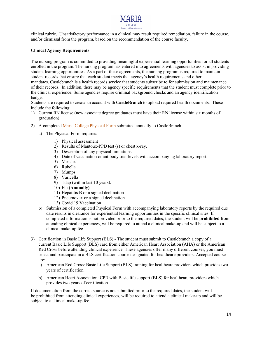clinical rubric. Unsatisfactory performance in a clinical may result required remediation, failure in the course, and/or dismissal from the program, based on the recommendation of the course faculty.

#### **Clinical Agency Requirements**

The nursing program is committed to providing meaningful experiential learning opportunities for all students enrolled in the program. The nursing program has entered into agreements with agencies to assist in providing student learning opportunities. As a part of these agreements, the nursing program is required to maintain student records that ensure that each student meets that agency's health requirements and other mandates. Castlebranch is a health records service that students subscribe to for submission and maintenance of their records. In addition, there may be agency specific requirements that the student must complete prior to the clinical experience. Some agencies require criminal background checks and an agency identification badge.

Students are required to create an account with **CastleBranch**to upload required health documents. These include the following: 

- 1) Current RN license (new associate degree graduates must have their RN license within six months of graduation)
- 2) A completed Maria College Physical Form submitted annually to CastleBranch.
	- a) The Physical Form requires:
		- 1) Physical assessment
		- 2) Results of Mantoux-PPD test (s) or chest x-ray.
		- 3) Description of any physical limitations
		- 4) Date of vaccination or antibody titer levels with accompanying laboratory report.
		- 5) Measles
		- 6) Rubella
		- 7) Mumps
		- 8) Varicella
		- 9) Tdap (within last 10 years).
		- 10) Flu **(Annually)**
		- 11) Hepatitis B or a signed declination
		- 12) Pneumovax or a signed declination
		- 13) Covid 19 Vaccination
	- b) Submission of a completed Physical Form with accompanying laboratory reports by the required due date results in clearance for experiential learning opportunities in the specific clinical sites. If completed information is not provided prior to the required dates, the student will be **prohibited** from attending clinical experiences, will be required to attend a clinical make-up and will be subject to a clinical make-up fee.
- 3) Certification in Basic Life Support (BLS) The student must submit to Castlebranch a copy of a current Basic Life Support (BLS) card from either American Heart Association (AHA) or the American Red Cross before attending clinical experience. These agencies offer many different courses, you must select and participate in a BLS certification course designated for healthcare providers. Accepted courses are:
	- a) American Red Cross: Basic Life Support (BLS) training for healthcare providers which provides two years of certification.
	- b) American Heart Association: CPR with Basic life support (BLS) for healthcare providers which provides two years of certification.

If documentation from the correct source is not submitted prior to the required dates, the student will be prohibited from attending clinical experiences, will be required to attend a clinical make-up and will be subject to a clinical make-up fee.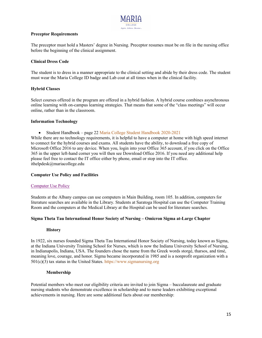

#### **Preceptor Requirements**

The preceptor must hold a Masters' degree in Nursing. Preceptor resumes must be on file in the nursing office before the beginning of the clinical assignment.

#### **Clinical Dress Code**

The student is to dress in a manner appropriate to the clinical setting and abide by their dress code. The student must wear the Maria College ID badge and Lab coat at all times when in the clinical facility.

#### **Hybrid Classes**

Select courses offered in the program are offered in a hybrid fashion. A hybrid course combines asynchronous online learning with on-campus learning strategies. That means that some of the "class meetings" will occur online, rather than in the classroom.

#### **Information Technology**

• Student Handbook – page 22 Maria College Student Handbook 2020-2021

While there are no technology requirements, it is helpful to have a computer at home with high speed internet to connect for the hybrid courses and exams. All students have the ability, to download a free copy of Microsoft Office 2016 to any device. When you, login into your Office 365 account, if you click on the Office 365 in the upper left-hand corner you will then see Download Office 2016. If you need any additional help please feel free to contact the IT office either by phone, email or stop into the IT office. ithelpdesk@mariacollege.edu

#### **Computer Use Policy and Facilities**

#### Computer Use Policy

Students at the Albany campus can use computers in Main Building, room 105. In addition, computers for literature searches are available in the Library. Students at Saratoga Hospital can use the Computer Training Room and the computers at the Medical Library at the Hospital can be used for literature searches.

#### **Sigma Theta Tau International Honor Society of Nursing – Omicron Sigma at-Large Chapter**

#### **History**

In 1922, six nurses founded Sigma Theta Tau International Honor Society of Nursing, today known as Sigma, at the Indiana University Training School for Nurses, which is now the Indiana University School of Nursing, in Indianapolis, Indiana, USA. The founders chose the name from the Greek words storgé, tharsos, and timé, meaning love, courage, and honor. Sigma became incorporated in 1985 and is a nonprofit organization with a 501(c)(3) tax status in the United States. https://www.sigmanursing.org

#### **Membership**

Potential members who meet our eligibility criteria are invited to join Sigma – baccalaureate and graduate nursing students who demonstrate excellence in scholarship and to nurse leaders exhibiting exceptional achievements in nursing. Here are some additional facts about our membership: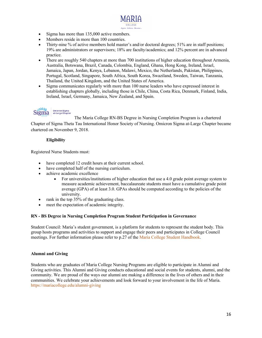- Sigma has more than 135,000 active members.
- Members reside in more than 100 countries.
- Thirty-nine % of active members hold master's and/or doctoral degrees; 51% are in staff positions; 19% are administrators or supervisors; 18% are faculty/academics; and 12% percent are in advanced practice.
- There are roughly 540 chapters at more than 700 institutions of higher education throughout Armenia, Australia, Botswana, Brazil, Canada, Colombia, England, Ghana, Hong Kong, Ireland, Israel, Jamaica, Japan, Jordan, Kenya, Lebanon, Malawi, Mexico, the Netherlands, Pakistan, Philippines, Portugal, Scotland, Singapore, South Africa, South Korea, Swaziland, Sweden, Taiwan, Tanzania, Thailand, the United Kingdom, and the United States of America.
- Sigma communicates regularly with more than 100 nurse leaders who have expressed interest in establishing chapters globally, including those in Chile, China, Costa Rica, Denmark, Finland, India, Ireland, Israel, Germany, Jamaica, New Zealand, and Spain.

#### $-32221$ Omicron Sigma<br>at-Large Chapter Sigma

The Maria College RN-BS Degree in Nursing Completion Program is a chartered Chapter of Sigma Theta Tau International Honor Society of Nursing. Omicron Sigma at-Large Chapter became chartered on November 9, 2018.

### **Eligibility**

Registered Nurse Students must:

- have completed 12 credit hours at their current school.
- have completed half of the nursing curriculum.
- achieve academic excellence
	- For universities/institutions of higher education that use a 4.0 grade point average system to measure academic achievement, baccalaureate students must have a cumulative grade point average (GPA) of at least 3.0. GPAs should be computed according to the policies of the university.
- rank in the top 35% of the graduating class.
- meet the expectation of academic integrity.

#### **RN - BS Degree in Nursing Completion Program Student Participation in Governance**

Student Council: Maria's student government, is a platform for students to represent the student body. This group hosts programs and activities to support and engage their peers and participates in College Council meetings. For further information please refer to p.27 of the Maria College Student Handbook.

#### **Alumni and Giving**

Students who are graduates of Maria College Nursing Programs are eligible to participate in Alumni and Giving activities. This Alumni and Giving conducts educational and social events for students, alumni, and the community. We are proud of the ways our alumni are making a difference in the lives of others and in their communities. We celebrate your achievements and look forward to your involvement in the life of Maria. https://mariacollege.edu/alumni-giving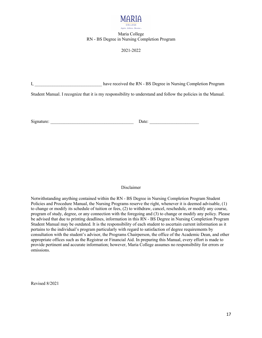

#### Maria College RN - BS Degree in Nursing Completion Program

#### 2021-2022

I, have received the RN - BS Degree in Nursing Completion Program

Student Manual. I recognize that it is my responsibility to understand and follow the policies in the Manual.

Signature: \_\_\_\_\_\_\_\_\_\_\_\_\_\_\_\_\_\_\_\_\_\_\_\_\_\_\_\_\_\_\_\_\_\_\_\_\_ Date: \_\_\_\_\_\_\_\_\_\_\_\_\_\_\_\_\_\_\_\_\_\_

Disclaimer

Notwithstanding anything contained within the RN - BS Degree in Nursing Completion Program Student Policies and Procedure Manual, the Nursing Programs reserve the right, whenever it is deemed advisable, (1) to change or modify its schedule of tuition or fees, (2) to withdraw, cancel, reschedule, or modify any course, program of study, degree, or any connection with the foregoing and (3) to change or modify any policy. Please be advised that due to printing deadlines, information in this RN - BS Degree in Nursing Completion Program Student Manual may be outdated. It is the responsibility of each student to ascertain current information as it pertains to the individual's program particularly with regard to satisfaction of degree requirements by consultation with the student's advisor, the Programs Chairperson, the office of the Academic Dean, and other appropriate offices such as the Registrar or Financial Aid. In preparing this Manual, every effort is made to provide pertinent and accurate information; however, Maria College assumes no responsibility for errors or omissions.

Revised 8/2021